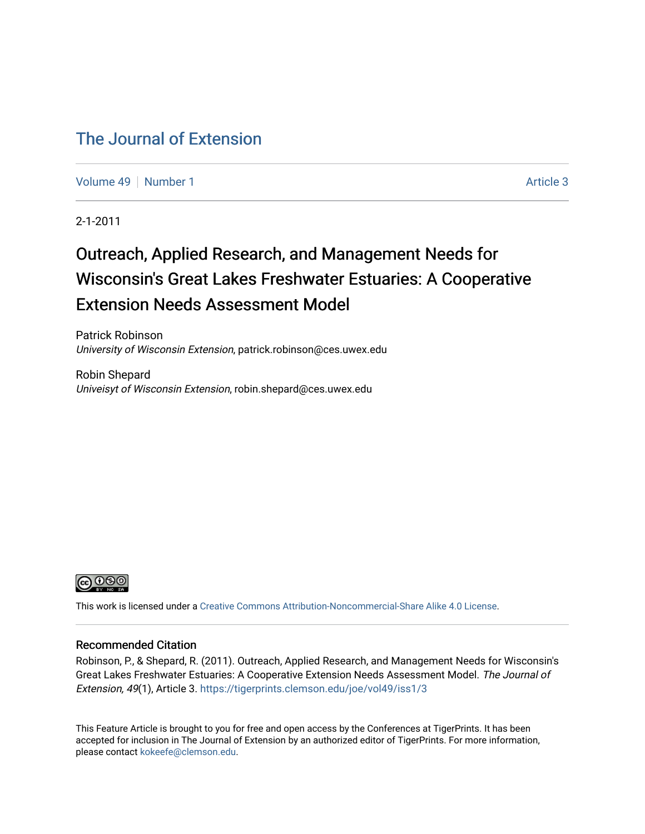## [The Journal of Extension](https://tigerprints.clemson.edu/joe)

[Volume 49](https://tigerprints.clemson.edu/joe/vol49) [Number 1](https://tigerprints.clemson.edu/joe/vol49/iss1) Article 3

2-1-2011

# Outreach, Applied Research, and Management Needs for Wisconsin's Great Lakes Freshwater Estuaries: A Cooperative Extension Needs Assessment Model

Patrick Robinson University of Wisconsin Extension, patrick.robinson@ces.uwex.edu

Robin Shepard Univeisyt of Wisconsin Extension, robin.shepard@ces.uwex.edu



This work is licensed under a [Creative Commons Attribution-Noncommercial-Share Alike 4.0 License.](https://creativecommons.org/licenses/by-nc-sa/4.0/)

#### Recommended Citation

Robinson, P., & Shepard, R. (2011). Outreach, Applied Research, and Management Needs for Wisconsin's Great Lakes Freshwater Estuaries: A Cooperative Extension Needs Assessment Model. The Journal of Extension, 49(1), Article 3.<https://tigerprints.clemson.edu/joe/vol49/iss1/3>

This Feature Article is brought to you for free and open access by the Conferences at TigerPrints. It has been accepted for inclusion in The Journal of Extension by an authorized editor of TigerPrints. For more information, please contact [kokeefe@clemson.edu](mailto:kokeefe@clemson.edu).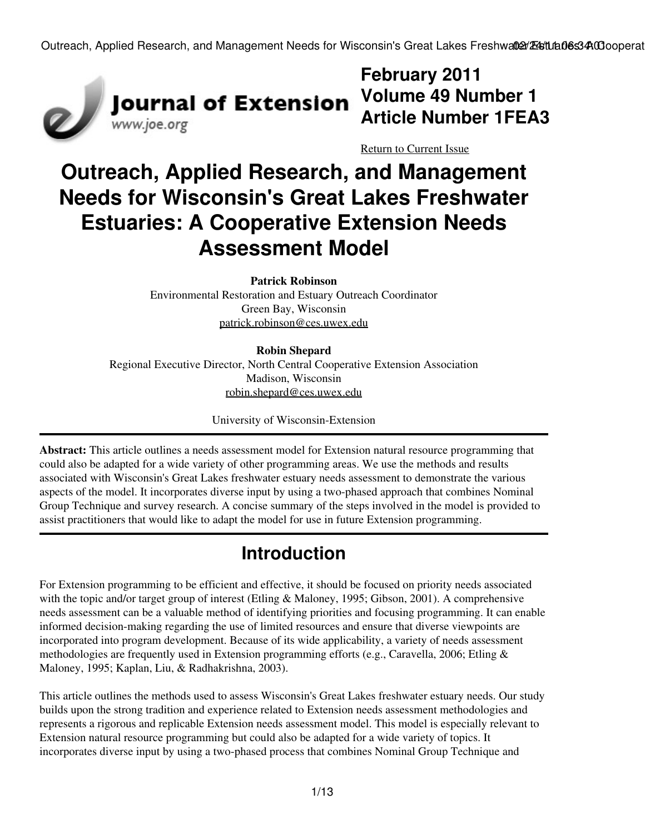

# **February 2011 Article Number 1FEA3**

[Return to Current Issue](http://www.joe.org:80/joe/2011february/)

# **Outreach, Applied Research, and Management Needs for Wisconsin's Great Lakes Freshwater Estuaries: A Cooperative Extension Needs Assessment Model**

**Patrick Robinson**

Environmental Restoration and Estuary Outreach Coordinator Green Bay, Wisconsin [patrick.robinson@ces.uwex.edu](mailto:patrick.robinson@ces.uwex.edu)

**Robin Shepard** Regional Executive Director, North Central Cooperative Extension Association Madison, Wisconsin [robin.shepard@ces.uwex.edu](mailto:robin.shepard@ces.uwex.edu)

University of Wisconsin-Extension

**Abstract:** This article outlines a needs assessment model for Extension natural resource programming that could also be adapted for a wide variety of other programming areas. We use the methods and results associated with Wisconsin's Great Lakes freshwater estuary needs assessment to demonstrate the various aspects of the model. It incorporates diverse input by using a two-phased approach that combines Nominal Group Technique and survey research. A concise summary of the steps involved in the model is provided to assist practitioners that would like to adapt the model for use in future Extension programming.

# **Introduction**

For Extension programming to be efficient and effective, it should be focused on priority needs associated with the topic and/or target group of interest (Etling & Maloney, 1995; Gibson, 2001). A comprehensive needs assessment can be a valuable method of identifying priorities and focusing programming. It can enable informed decision-making regarding the use of limited resources and ensure that diverse viewpoints are incorporated into program development. Because of its wide applicability, a variety of needs assessment methodologies are frequently used in Extension programming efforts (e.g., Caravella, 2006; Etling & Maloney, 1995; Kaplan, Liu, & Radhakrishna, 2003).

This article outlines the methods used to assess Wisconsin's Great Lakes freshwater estuary needs. Our study builds upon the strong tradition and experience related to Extension needs assessment methodologies and represents a rigorous and replicable Extension needs assessment model. This model is especially relevant to Extension natural resource programming but could also be adapted for a wide variety of topics. It incorporates diverse input by using a two-phased process that combines Nominal Group Technique and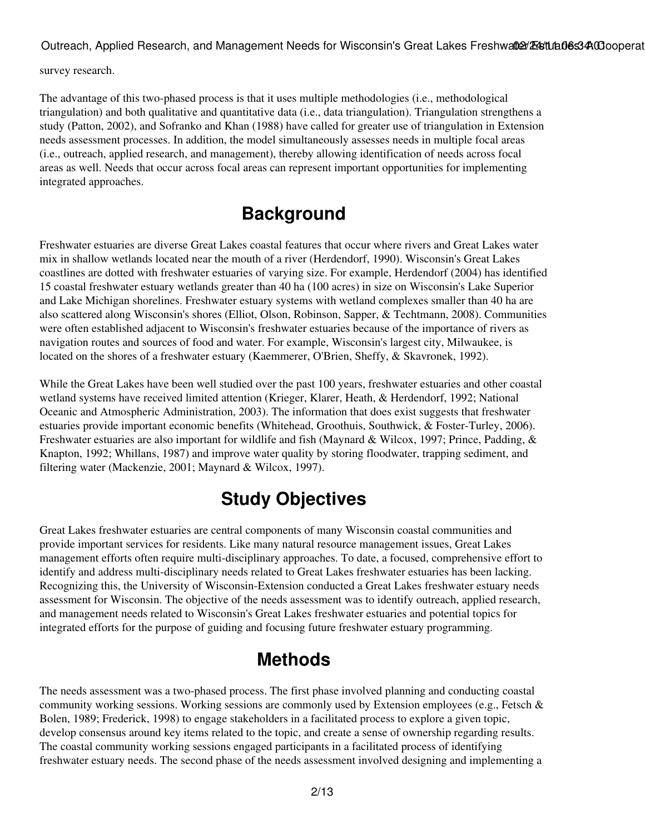survey research.

The advantage of this two-phased process is that it uses multiple methodologies (i.e., methodological triangulation) and both qualitative and quantitative data (i.e., data triangulation). Triangulation strengthens a study (Patton, 2002), and Sofranko and Khan (1988) have called for greater use of triangulation in Extension needs assessment processes. In addition, the model simultaneously assesses needs in multiple focal areas (i.e., outreach, applied research, and management), thereby allowing identification of needs across focal areas as well. Needs that occur across focal areas can represent important opportunities for implementing integrated approaches.

# **Background**

Freshwater estuaries are diverse Great Lakes coastal features that occur where rivers and Great Lakes water mix in shallow wetlands located near the mouth of a river (Herdendorf, 1990). Wisconsin's Great Lakes coastlines are dotted with freshwater estuaries of varying size. For example, Herdendorf (2004) has identified 15 coastal freshwater estuary wetlands greater than 40 ha (100 acres) in size on Wisconsin's Lake Superior and Lake Michigan shorelines. Freshwater estuary systems with wetland complexes smaller than 40 ha are also scattered along Wisconsin's shores (Elliot, Olson, Robinson, Sapper, & Techtmann, 2008). Communities were often established adjacent to Wisconsin's freshwater estuaries because of the importance of rivers as navigation routes and sources of food and water. For example, Wisconsin's largest city, Milwaukee, is located on the shores of a freshwater estuary (Kaemmerer, O'Brien, Sheffy, & Skavronek, 1992).

While the Great Lakes have been well studied over the past 100 years, freshwater estuaries and other coastal wetland systems have received limited attention (Krieger, Klarer, Heath, & Herdendorf, 1992; National Oceanic and Atmospheric Administration, 2003). The information that does exist suggests that freshwater estuaries provide important economic benefits (Whitehead, Groothuis, Southwick, & Foster-Turley, 2006). Freshwater estuaries are also important for wildlife and fish (Maynard & Wilcox, 1997; Prince, Padding, & Knapton, 1992; Whillans, 1987) and improve water quality by storing floodwater, trapping sediment, and filtering water (Mackenzie, 2001; Maynard & Wilcox, 1997).

# **Study Objectives**

Great Lakes freshwater estuaries are central components of many Wisconsin coastal communities and provide important services for residents. Like many natural resource management issues, Great Lakes management efforts often require multi-disciplinary approaches. To date, a focused, comprehensive effort to identify and address multi-disciplinary needs related to Great Lakes freshwater estuaries has been lacking. Recognizing this, the University of Wisconsin-Extension conducted a Great Lakes freshwater estuary needs assessment for Wisconsin. The objective of the needs assessment was to identify outreach, applied research, and management needs related to Wisconsin's Great Lakes freshwater estuaries and potential topics for integrated efforts for the purpose of guiding and focusing future freshwater estuary programming.

# **Methods**

The needs assessment was a two-phased process. The first phase involved planning and conducting coastal community working sessions. Working sessions are commonly used by Extension employees (e.g., Fetsch & Bolen, 1989; Frederick, 1998) to engage stakeholders in a facilitated process to explore a given topic, develop consensus around key items related to the topic, and create a sense of ownership regarding results. The coastal community working sessions engaged participants in a facilitated process of identifying freshwater estuary needs. The second phase of the needs assessment involved designing and implementing a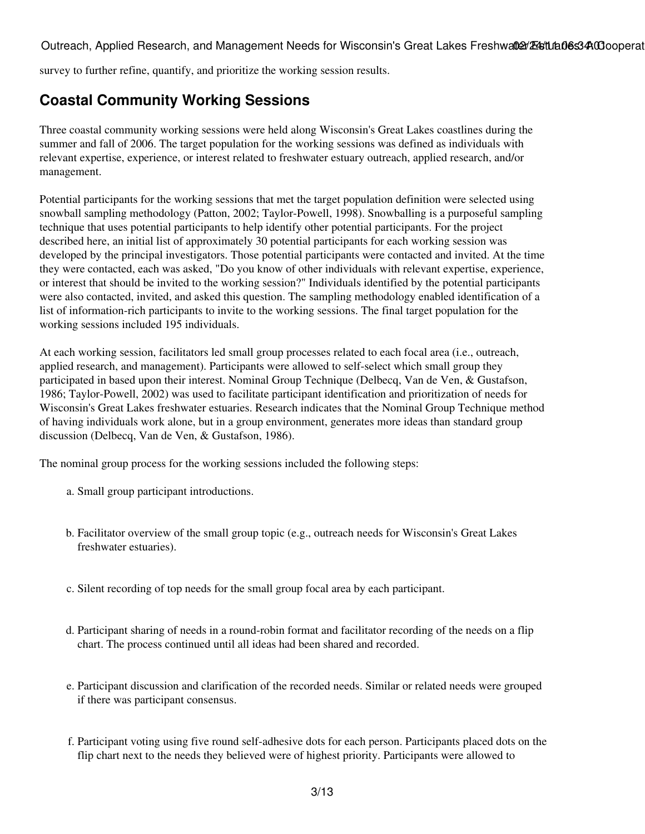survey to further refine, quantify, and prioritize the working session results.

## **Coastal Community Working Sessions**

Three coastal community working sessions were held along Wisconsin's Great Lakes coastlines during the summer and fall of 2006. The target population for the working sessions was defined as individuals with relevant expertise, experience, or interest related to freshwater estuary outreach, applied research, and/or management.

Potential participants for the working sessions that met the target population definition were selected using snowball sampling methodology (Patton, 2002; Taylor-Powell, 1998). Snowballing is a purposeful sampling technique that uses potential participants to help identify other potential participants. For the project described here, an initial list of approximately 30 potential participants for each working session was developed by the principal investigators. Those potential participants were contacted and invited. At the time they were contacted, each was asked, "Do you know of other individuals with relevant expertise, experience, or interest that should be invited to the working session?" Individuals identified by the potential participants were also contacted, invited, and asked this question. The sampling methodology enabled identification of a list of information-rich participants to invite to the working sessions. The final target population for the working sessions included 195 individuals.

At each working session, facilitators led small group processes related to each focal area (i.e., outreach, applied research, and management). Participants were allowed to self-select which small group they participated in based upon their interest. Nominal Group Technique (Delbecq, Van de Ven, & Gustafson, 1986; Taylor-Powell, 2002) was used to facilitate participant identification and prioritization of needs for Wisconsin's Great Lakes freshwater estuaries. Research indicates that the Nominal Group Technique method of having individuals work alone, but in a group environment, generates more ideas than standard group discussion (Delbecq, Van de Ven, & Gustafson, 1986).

The nominal group process for the working sessions included the following steps:

- a. Small group participant introductions.
- Facilitator overview of the small group topic (e.g., outreach needs for Wisconsin's Great Lakes b. freshwater estuaries).
- c. Silent recording of top needs for the small group focal area by each participant.
- d. Participant sharing of needs in a round-robin format and facilitator recording of the needs on a flip chart. The process continued until all ideas had been shared and recorded.
- e. Participant discussion and clarification of the recorded needs. Similar or related needs were grouped if there was participant consensus.
- f. Participant voting using five round self-adhesive dots for each person. Participants placed dots on the flip chart next to the needs they believed were of highest priority. Participants were allowed to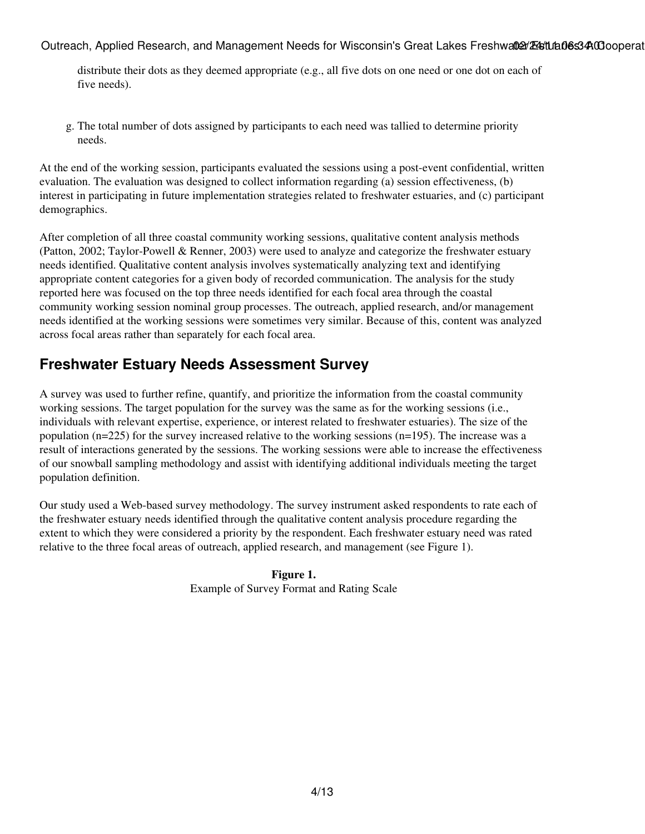distribute their dots as they deemed appropriate (e.g., all five dots on one need or one dot on each of five needs).

The total number of dots assigned by participants to each need was tallied to determine priority g. needs.

At the end of the working session, participants evaluated the sessions using a post-event confidential, written evaluation. The evaluation was designed to collect information regarding (a) session effectiveness, (b) interest in participating in future implementation strategies related to freshwater estuaries, and (c) participant demographics.

After completion of all three coastal community working sessions, qualitative content analysis methods (Patton, 2002; Taylor-Powell & Renner, 2003) were used to analyze and categorize the freshwater estuary needs identified. Qualitative content analysis involves systematically analyzing text and identifying appropriate content categories for a given body of recorded communication. The analysis for the study reported here was focused on the top three needs identified for each focal area through the coastal community working session nominal group processes. The outreach, applied research, and/or management needs identified at the working sessions were sometimes very similar. Because of this, content was analyzed across focal areas rather than separately for each focal area.

#### **Freshwater Estuary Needs Assessment Survey**

A survey was used to further refine, quantify, and prioritize the information from the coastal community working sessions. The target population for the survey was the same as for the working sessions (i.e., individuals with relevant expertise, experience, or interest related to freshwater estuaries). The size of the population ( $n=225$ ) for the survey increased relative to the working sessions ( $n=195$ ). The increase was a result of interactions generated by the sessions. The working sessions were able to increase the effectiveness of our snowball sampling methodology and assist with identifying additional individuals meeting the target population definition.

Our study used a Web-based survey methodology. The survey instrument asked respondents to rate each of the freshwater estuary needs identified through the qualitative content analysis procedure regarding the extent to which they were considered a priority by the respondent. Each freshwater estuary need was rated relative to the three focal areas of outreach, applied research, and management (see Figure 1).

> **Figure 1.** Example of Survey Format and Rating Scale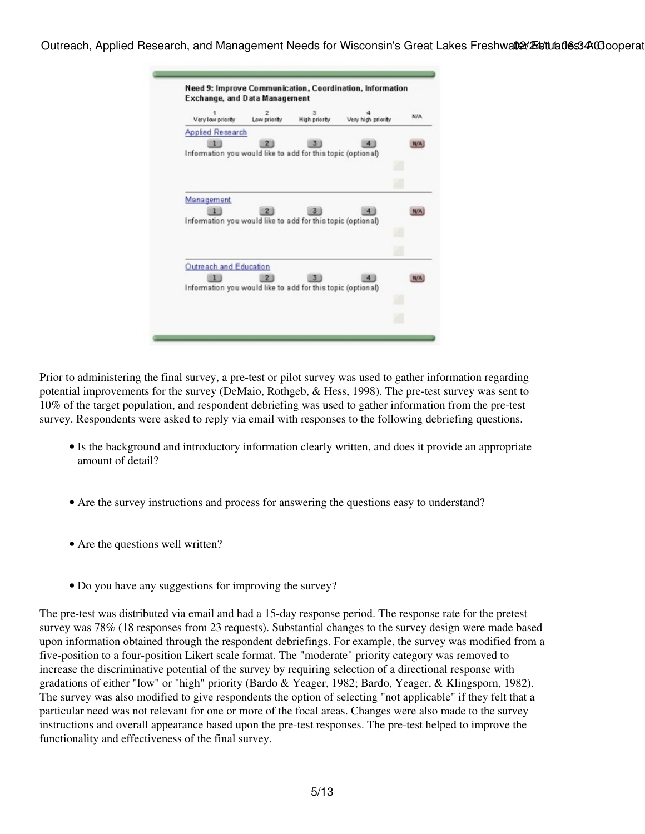

Prior to administering the final survey, a pre-test or pilot survey was used to gather information regarding potential improvements for the survey (DeMaio, Rothgeb, & Hess, 1998). The pre-test survey was sent to 10% of the target population, and respondent debriefing was used to gather information from the pre-test survey. Respondents were asked to reply via email with responses to the following debriefing questions.

- Is the background and introductory information clearly written, and does it provide an appropriate amount of detail?
- Are the survey instructions and process for answering the questions easy to understand?
- Are the questions well written?
- Do you have any suggestions for improving the survey?

The pre-test was distributed via email and had a 15-day response period. The response rate for the pretest survey was 78% (18 responses from 23 requests). Substantial changes to the survey design were made based upon information obtained through the respondent debriefings. For example, the survey was modified from a five-position to a four-position Likert scale format. The "moderate" priority category was removed to increase the discriminative potential of the survey by requiring selection of a directional response with gradations of either "low" or "high" priority (Bardo & Yeager, 1982; Bardo, Yeager, & Klingsporn, 1982). The survey was also modified to give respondents the option of selecting "not applicable" if they felt that a particular need was not relevant for one or more of the focal areas. Changes were also made to the survey instructions and overall appearance based upon the pre-test responses. The pre-test helped to improve the functionality and effectiveness of the final survey.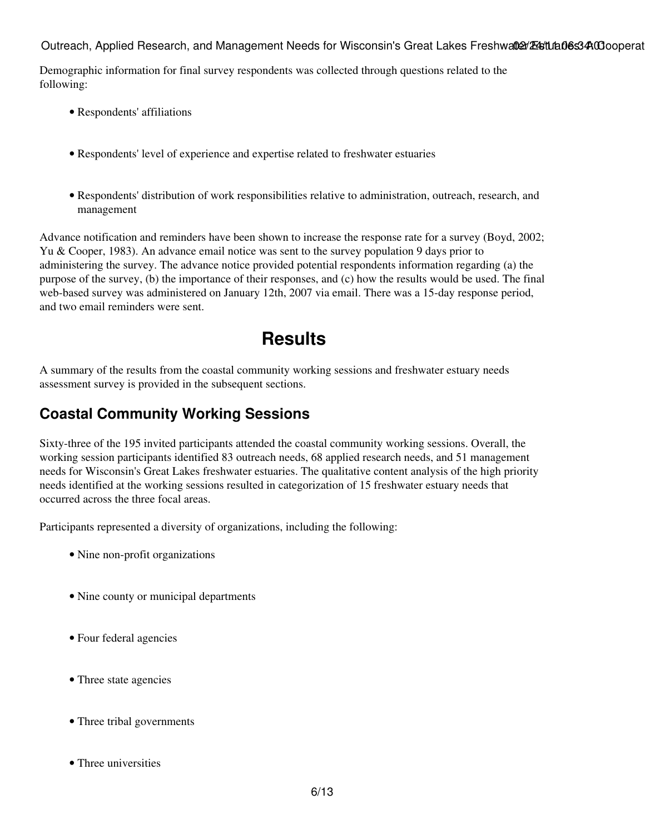Demographic information for final survey respondents was collected through questions related to the following:

- Respondents' affiliations
- Respondents' level of experience and expertise related to freshwater estuaries
- Respondents' distribution of work responsibilities relative to administration, outreach, research, and management

Advance notification and reminders have been shown to increase the response rate for a survey (Boyd, 2002; Yu & Cooper, 1983). An advance email notice was sent to the survey population 9 days prior to administering the survey. The advance notice provided potential respondents information regarding (a) the purpose of the survey, (b) the importance of their responses, and (c) how the results would be used. The final web-based survey was administered on January 12th, 2007 via email. There was a 15-day response period, and two email reminders were sent.

# **Results**

A summary of the results from the coastal community working sessions and freshwater estuary needs assessment survey is provided in the subsequent sections.

## **Coastal Community Working Sessions**

Sixty-three of the 195 invited participants attended the coastal community working sessions. Overall, the working session participants identified 83 outreach needs, 68 applied research needs, and 51 management needs for Wisconsin's Great Lakes freshwater estuaries. The qualitative content analysis of the high priority needs identified at the working sessions resulted in categorization of 15 freshwater estuary needs that occurred across the three focal areas.

Participants represented a diversity of organizations, including the following:

- Nine non-profit organizations
- Nine county or municipal departments
- Four federal agencies
- Three state agencies
- Three tribal governments
- Three universities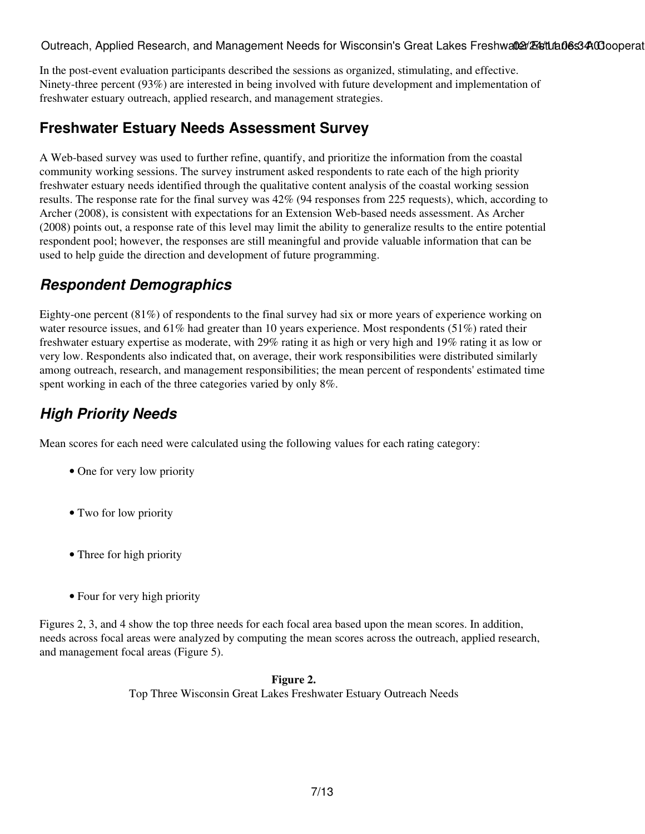In the post-event evaluation participants described the sessions as organized, stimulating, and effective. Ninety-three percent (93%) are interested in being involved with future development and implementation of freshwater estuary outreach, applied research, and management strategies.

#### **Freshwater Estuary Needs Assessment Survey**

A Web-based survey was used to further refine, quantify, and prioritize the information from the coastal community working sessions. The survey instrument asked respondents to rate each of the high priority freshwater estuary needs identified through the qualitative content analysis of the coastal working session results. The response rate for the final survey was 42% (94 responses from 225 requests), which, according to Archer (2008), is consistent with expectations for an Extension Web-based needs assessment. As Archer (2008) points out, a response rate of this level may limit the ability to generalize results to the entire potential respondent pool; however, the responses are still meaningful and provide valuable information that can be used to help guide the direction and development of future programming.

## *Respondent Demographics*

Eighty-one percent (81%) of respondents to the final survey had six or more years of experience working on water resource issues, and 61% had greater than 10 years experience. Most respondents (51%) rated their freshwater estuary expertise as moderate, with 29% rating it as high or very high and 19% rating it as low or very low. Respondents also indicated that, on average, their work responsibilities were distributed similarly among outreach, research, and management responsibilities; the mean percent of respondents' estimated time spent working in each of the three categories varied by only 8%.

## *High Priority Needs*

Mean scores for each need were calculated using the following values for each rating category:

- One for very low priority
- Two for low priority
- Three for high priority
- Four for very high priority

Figures 2, 3, and 4 show the top three needs for each focal area based upon the mean scores. In addition, needs across focal areas were analyzed by computing the mean scores across the outreach, applied research, and management focal areas (Figure 5).

> **Figure 2.** Top Three Wisconsin Great Lakes Freshwater Estuary Outreach Needs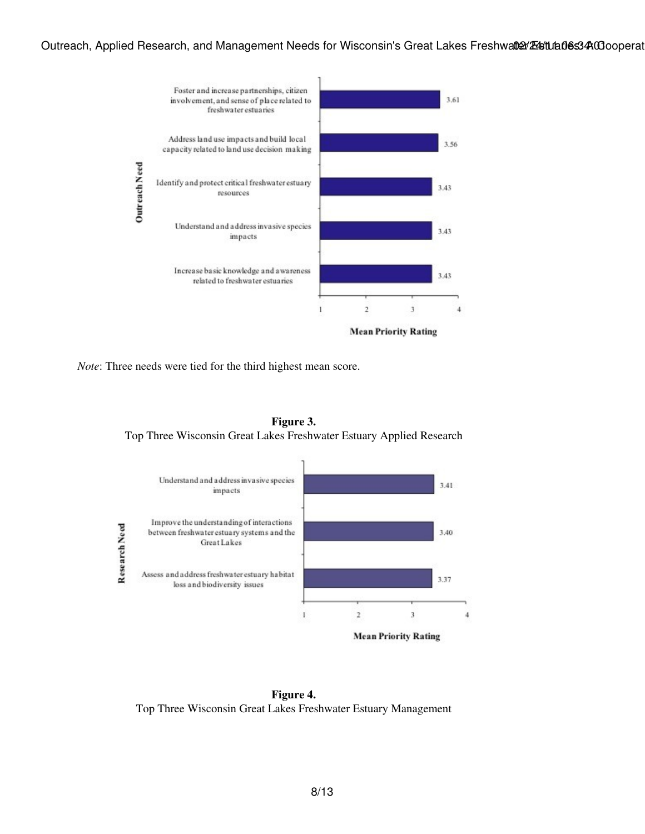

*Note*: Three needs were tied for the third highest mean score.

**Figure 3.** Top Three Wisconsin Great Lakes Freshwater Estuary Applied Research



**Figure 4.** Top Three Wisconsin Great Lakes Freshwater Estuary Management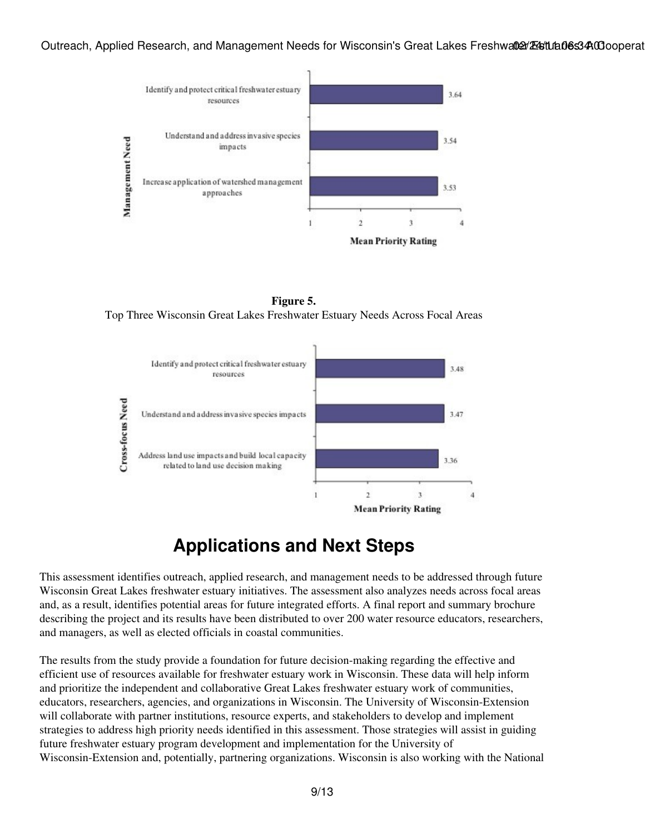

**Figure 5.** Top Three Wisconsin Great Lakes Freshwater Estuary Needs Across Focal Areas



## **Applications and Next Steps**

This assessment identifies outreach, applied research, and management needs to be addressed through future Wisconsin Great Lakes freshwater estuary initiatives. The assessment also analyzes needs across focal areas and, as a result, identifies potential areas for future integrated efforts. A final report and summary brochure describing the project and its results have been distributed to over 200 water resource educators, researchers, and managers, as well as elected officials in coastal communities.

The results from the study provide a foundation for future decision-making regarding the effective and efficient use of resources available for freshwater estuary work in Wisconsin. These data will help inform and prioritize the independent and collaborative Great Lakes freshwater estuary work of communities, educators, researchers, agencies, and organizations in Wisconsin. The University of Wisconsin-Extension will collaborate with partner institutions, resource experts, and stakeholders to develop and implement strategies to address high priority needs identified in this assessment. Those strategies will assist in guiding future freshwater estuary program development and implementation for the University of Wisconsin-Extension and, potentially, partnering organizations. Wisconsin is also working with the National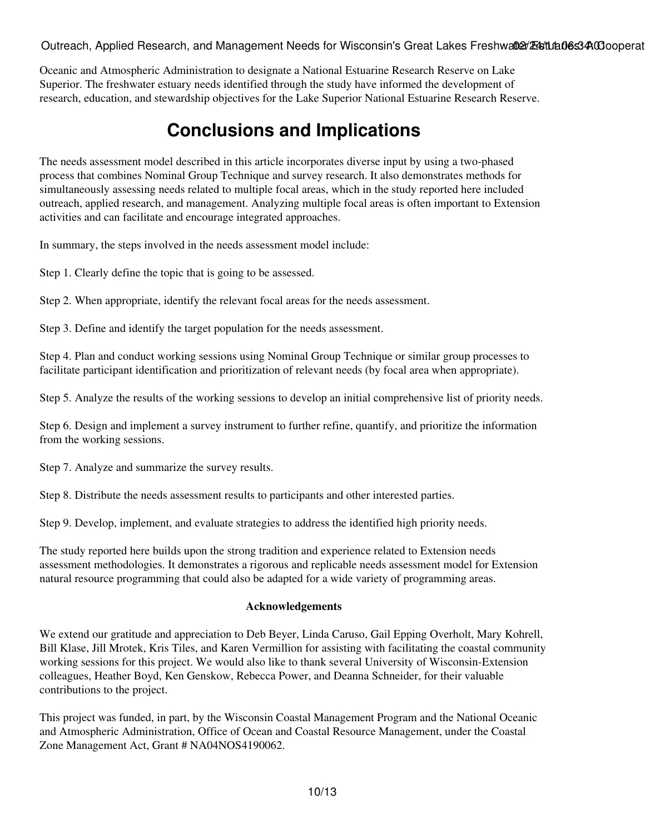Oceanic and Atmospheric Administration to designate a National Estuarine Research Reserve on Lake Superior. The freshwater estuary needs identified through the study have informed the development of research, education, and stewardship objectives for the Lake Superior National Estuarine Research Reserve.

# **Conclusions and Implications**

The needs assessment model described in this article incorporates diverse input by using a two-phased process that combines Nominal Group Technique and survey research. It also demonstrates methods for simultaneously assessing needs related to multiple focal areas, which in the study reported here included outreach, applied research, and management. Analyzing multiple focal areas is often important to Extension activities and can facilitate and encourage integrated approaches.

In summary, the steps involved in the needs assessment model include:

Step 1. Clearly define the topic that is going to be assessed.

Step 2. When appropriate, identify the relevant focal areas for the needs assessment.

Step 3. Define and identify the target population for the needs assessment.

Step 4. Plan and conduct working sessions using Nominal Group Technique or similar group processes to facilitate participant identification and prioritization of relevant needs (by focal area when appropriate).

Step 5. Analyze the results of the working sessions to develop an initial comprehensive list of priority needs.

Step 6. Design and implement a survey instrument to further refine, quantify, and prioritize the information from the working sessions.

Step 7. Analyze and summarize the survey results.

Step 8. Distribute the needs assessment results to participants and other interested parties.

Step 9. Develop, implement, and evaluate strategies to address the identified high priority needs.

The study reported here builds upon the strong tradition and experience related to Extension needs assessment methodologies. It demonstrates a rigorous and replicable needs assessment model for Extension natural resource programming that could also be adapted for a wide variety of programming areas.

#### **Acknowledgements**

We extend our gratitude and appreciation to Deb Beyer, Linda Caruso, Gail Epping Overholt, Mary Kohrell, Bill Klase, Jill Mrotek, Kris Tiles, and Karen Vermillion for assisting with facilitating the coastal community working sessions for this project. We would also like to thank several University of Wisconsin-Extension colleagues, Heather Boyd, Ken Genskow, Rebecca Power, and Deanna Schneider, for their valuable contributions to the project.

This project was funded, in part, by the Wisconsin Coastal Management Program and the National Oceanic and Atmospheric Administration, Office of Ocean and Coastal Resource Management, under the Coastal Zone Management Act, Grant # NA04NOS4190062.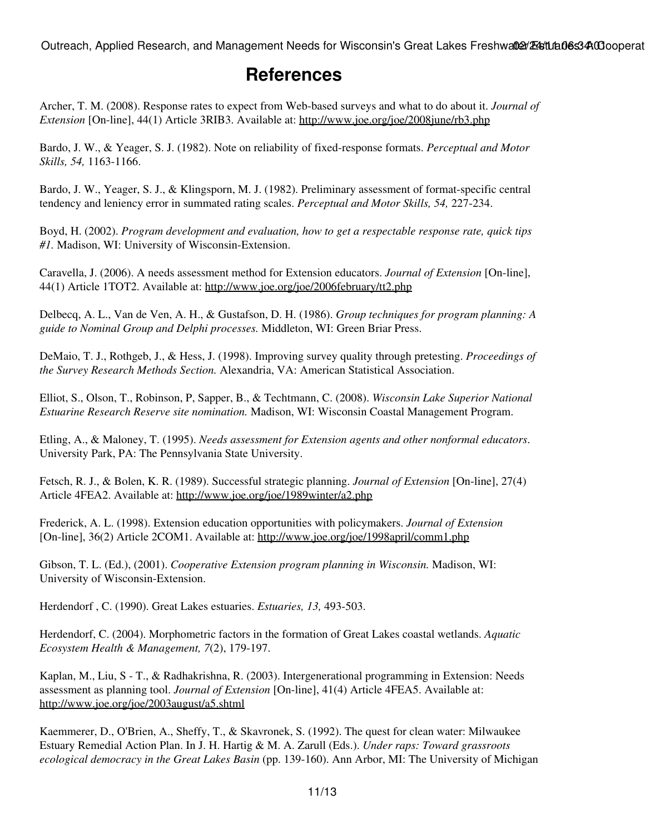## **References**

Archer, T. M. (2008). Response rates to expect from Web-based surveys and what to do about it. *Journal of Extension* [On-line], 44(1) Article 3RIB3. Available at:<http://www.joe.org/joe/2008june/rb3.php>

Bardo, J. W., & Yeager, S. J. (1982). Note on reliability of fixed-response formats. *Perceptual and Motor Skills, 54,* 1163-1166.

Bardo, J. W., Yeager, S. J., & Klingsporn, M. J. (1982). Preliminary assessment of format-specific central tendency and leniency error in summated rating scales. *Perceptual and Motor Skills, 54,* 227-234.

Boyd, H. (2002). *Program development and evaluation, how to get a respectable response rate, quick tips #1.* Madison, WI: University of Wisconsin-Extension.

Caravella, J. (2006). A needs assessment method for Extension educators. *Journal of Extension* [On-line], 44(1) Article 1TOT2. Available at: <http://www.joe.org/joe/2006february/tt2.php>

Delbecq, A. L., Van de Ven, A. H., & Gustafson, D. H. (1986). *Group techniques for program planning: A guide to Nominal Group and Delphi processes.* Middleton, WI: Green Briar Press.

DeMaio, T. J., Rothgeb, J., & Hess, J. (1998). Improving survey quality through pretesting. *Proceedings of the Survey Research Methods Section.* Alexandria, VA: American Statistical Association.

Elliot, S., Olson, T., Robinson, P, Sapper, B., & Techtmann, C. (2008). *Wisconsin Lake Superior National Estuarine Research Reserve site nomination.* Madison, WI: Wisconsin Coastal Management Program.

Etling, A., & Maloney, T. (1995). *Needs assessment for Extension agents and other nonformal educators*. University Park, PA: The Pennsylvania State University.

Fetsch, R. J., & Bolen, K. R. (1989). Successful strategic planning. *Journal of Extension* [On-line], 27(4) Article 4FEA2. Available at:<http://www.joe.org/joe/1989winter/a2.php>

Frederick, A. L. (1998). Extension education opportunities with policymakers. *Journal of Extension* [On-line], 36(2) Article 2COM1. Available at: <http://www.joe.org/joe/1998april/comm1.php>

Gibson, T. L. (Ed.), (2001). *Cooperative Extension program planning in Wisconsin.* Madison, WI: University of Wisconsin-Extension.

Herdendorf , C. (1990). Great Lakes estuaries. *Estuaries, 13,* 493-503.

Herdendorf, C. (2004). Morphometric factors in the formation of Great Lakes coastal wetlands. *Aquatic Ecosystem Health & Management, 7*(2), 179-197.

Kaplan, M., Liu, S - T., & Radhakrishna, R. (2003). Intergenerational programming in Extension: Needs assessment as planning tool. *Journal of Extension* [On-line], 41(4) Article 4FEA5. Available at: <http://www.joe.org/joe/2003august/a5.shtml>

Kaemmerer, D., O'Brien, A., Sheffy, T., & Skavronek, S. (1992). The quest for clean water: Milwaukee Estuary Remedial Action Plan. In J. H. Hartig & M. A. Zarull (Eds.). *Under raps: Toward grassroots ecological democracy in the Great Lakes Basin* (pp. 139-160). Ann Arbor, MI: The University of Michigan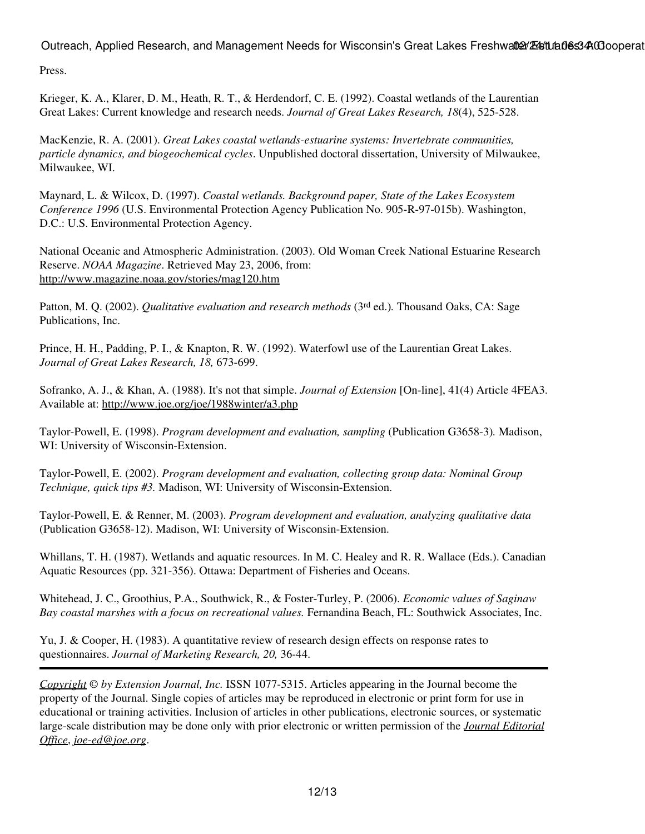Press.

Krieger, K. A., Klarer, D. M., Heath, R. T., & Herdendorf, C. E. (1992). Coastal wetlands of the Laurentian Great Lakes: Current knowledge and research needs. *Journal of Great Lakes Research, 18*(4), 525-528.

MacKenzie, R. A. (2001). *Great Lakes coastal wetlands-estuarine systems: Invertebrate communities, particle dynamics, and biogeochemical cycles*. Unpublished doctoral dissertation, University of Milwaukee, Milwaukee, WI.

Maynard, L. & Wilcox, D. (1997). *Coastal wetlands. Background paper, State of the Lakes Ecosystem Conference 1996* (U.S. Environmental Protection Agency Publication No. 905-R-97-015b). Washington, D.C.: U.S. Environmental Protection Agency.

National Oceanic and Atmospheric Administration. (2003). Old Woman Creek National Estuarine Research Reserve. *NOAA Magazine*. Retrieved May 23, 2006, from: <http://www.magazine.noaa.gov/stories/mag120.htm>

Patton, M. Q. (2002). *Qualitative evaluation and research methods* (3<sup>rd</sup> ed.). Thousand Oaks, CA: Sage Publications, Inc.

Prince, H. H., Padding, P. I., & Knapton, R. W. (1992). Waterfowl use of the Laurentian Great Lakes. *Journal of Great Lakes Research, 18,* 673-699.

Sofranko, A. J., & Khan, A. (1988). It's not that simple. *Journal of Extension* [On-line], 41(4) Article 4FEA3. Available at: <http://www.joe.org/joe/1988winter/a3.php>

Taylor-Powell, E. (1998). *Program development and evaluation, sampling* (Publication G3658-3)*.* Madison, WI: University of Wisconsin-Extension.

Taylor-Powell, E. (2002). *Program development and evaluation, collecting group data: Nominal Group Technique, quick tips #3.* Madison, WI: University of Wisconsin-Extension.

Taylor-Powell, E. & Renner, M. (2003). *Program development and evaluation, analyzing qualitative data* (Publication G3658-12). Madison, WI: University of Wisconsin-Extension.

Whillans, T. H. (1987). Wetlands and aquatic resources. In M. C. Healey and R. R. Wallace (Eds.). Canadian Aquatic Resources (pp. 321-356). Ottawa: Department of Fisheries and Oceans.

Whitehead, J. C., Groothius, P.A., Southwick, R., & Foster-Turley, P. (2006). *Economic values of Saginaw Bay coastal marshes with a focus on recreational values.* Fernandina Beach, FL: Southwick Associates, Inc.

Yu, J. & Cooper, H. (1983). A quantitative review of research design effects on response rates to questionnaires. *Journal of Marketing Research, 20,* 36-44.

*[Copyright](http://www.joe.org:80/joe/2011february/../../copyright.html) © by Extension Journal, Inc.* ISSN 1077-5315. Articles appearing in the Journal become the property of the Journal. Single copies of articles may be reproduced in electronic or print form for use in educational or training activities. Inclusion of articles in other publications, electronic sources, or systematic large-scale distribution may be done only with prior electronic or written permission of the *[Journal Editorial](http://www.joe.org:80/joe/2011february/../../joe-jeo.html) [Office](http://www.joe.org:80/joe/2011february/../../joe-jeo.html)*, *[joe-ed@joe.org](mailto:joe-ed@joe.org)*.